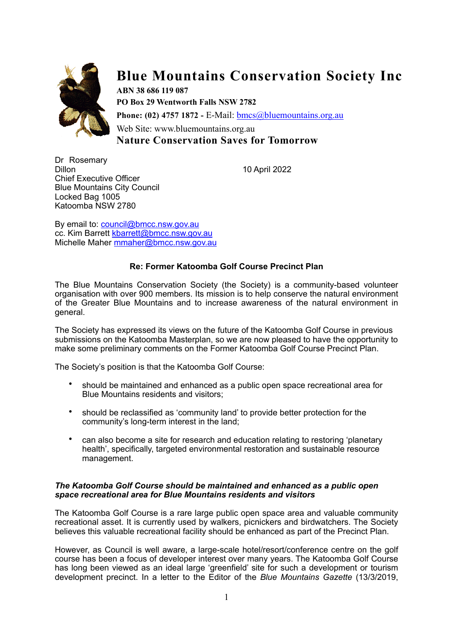

# **Blue Mountains Conservation Society Inc**

**ABN 38 686 119 087 PO Box 29 Wentworth Falls NSW 2782 Phone: (02) 4757 1872 -** E-Mail: [bmcs@bluemountains.org.au](mailto:bmcs@bluemountains.org.au) Web Site: www.bluemountains.org.au **Nature Conservation Saves for Tomorrow**

Dr Rosemary Dillon 10 April 2022 Chief Executive Officer Blue Mountains City Council Locked Bag 1005 Katoomba NSW 2780

By email to: [council@bmcc.nsw.gov.au](mailto:council@bmcc.nsw.gov.au) cc. Kim Barrett [kbarrett@bmcc.nsw.gov.au](mailto:kbarrett@bmcc.nsw.gov.au) Michelle Maher [mmaher@bmcc.nsw.gov.au](mailto:mmaher@bmcc.nsw.gov.au)

## **Re: Former Katoomba Golf Course Precinct Plan**

The Blue Mountains Conservation Society (the Society) is a community-based volunteer organisation with over 900 members. Its mission is to help conserve the natural environment of the Greater Blue Mountains and to increase awareness of the natural environment in general.

The Society has expressed its views on the future of the Katoomba Golf Course in previous submissions on the Katoomba Masterplan, so we are now pleased to have the opportunity to make some preliminary comments on the Former Katoomba Golf Course Precinct Plan.

The Society's position is that the Katoomba Golf Course:

- should be maintained and enhanced as a public open space recreational area for Blue Mountains residents and visitors;
- should be reclassified as 'community land' to provide better protection for the community's long-term interest in the land;
- can also become a site for research and education relating to restoring 'planetary health', specifically, targeted environmental restoration and sustainable resource management.

### *The Katoomba Golf Course should be maintained and enhanced as a public open space recreational area for Blue Mountains residents and visitors*

The Katoomba Golf Course is a rare large public open space area and valuable community recreational asset. It is currently used by walkers, picnickers and birdwatchers. The Society believes this valuable recreational facility should be enhanced as part of the Precinct Plan.

However, as Council is well aware, a large-scale hotel/resort/conference centre on the golf course has been a focus of developer interest over many years. The Katoomba Golf Course has long been viewed as an ideal large 'greenfield' site for such a development or tourism development precinct. In a letter to the Editor of the *Blue Mountains Gazette* (13/3/2019,